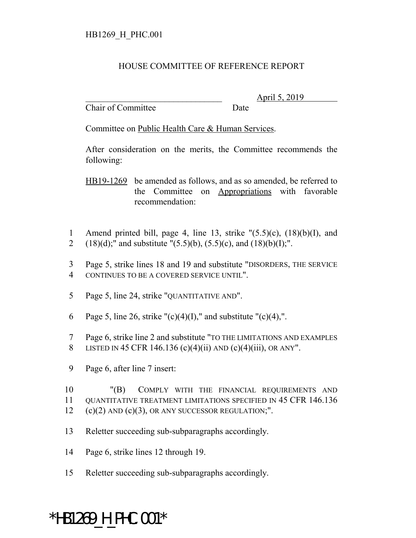## HOUSE COMMITTEE OF REFERENCE REPORT

Chair of Committee Date

\_\_\_\_\_\_\_\_\_\_\_\_\_\_\_\_\_\_\_\_\_\_\_\_\_\_\_\_\_\_\_ April 5, 2019

Committee on Public Health Care & Human Services.

After consideration on the merits, the Committee recommends the following:

HB19-1269 be amended as follows, and as so amended, be referred to the Committee on Appropriations with favorable recommendation:

- 1 Amend printed bill, page 4, line 13, strike  $(5.5)(c)$ ,  $(18)(b)(I)$ , and 2 (18)(d);" and substitute "(5.5)(b), (5.5)(c), and (18)(b)(I);".
- 3 Page 5, strike lines 18 and 19 and substitute "DISORDERS, THE SERVICE 4 CONTINUES TO BE A COVERED SERVICE UNTIL".
- 5 Page 5, line 24, strike "QUANTITATIVE AND".
- 6 Page 5, line 26, strike " $(c)(4)(I)$ ," and substitute " $(c)(4)$ ,".
- 7 Page 6, strike line 2 and substitute "TO THE LIMITATIONS AND EXAMPLES 8 LISTED IN 45 CFR 146.136 (c)(4)(ii) AND (c)(4)(iii), OR ANY".
- 9 Page 6, after line 7 insert:

10 "(B) COMPLY WITH THE FINANCIAL REQUIREMENTS AND 11 QUANTITATIVE TREATMENT LIMITATIONS SPECIFIED IN 45 CFR 146.136  $12$  (c)(2) AND (c)(3), OR ANY SUCCESSOR REGULATION;".

- 13 Reletter succeeding sub-subparagraphs accordingly.
- 14 Page 6, strike lines 12 through 19.
- 15 Reletter succeeding sub-subparagraphs accordingly.

## \*HB1269\_H\_PHC.001\*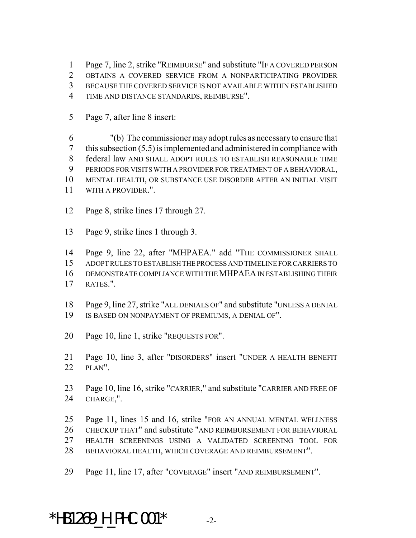Page 7, line 2, strike "REIMBURSE" and substitute "IF A COVERED PERSON

OBTAINS A COVERED SERVICE FROM A NONPARTICIPATING PROVIDER

BECAUSE THE COVERED SERVICE IS NOT AVAILABLE WITHIN ESTABLISHED

- TIME AND DISTANCE STANDARDS, REIMBURSE".
- Page 7, after line 8 insert:

 "(b) The commissioner may adopt rules as necessary to ensure that this subsection (5.5) is implemented and administered in compliance with federal law AND SHALL ADOPT RULES TO ESTABLISH REASONABLE TIME PERIODS FOR VISITS WITH A PROVIDER FOR TREATMENT OF A BEHAVIORAL, MENTAL HEALTH, OR SUBSTANCE USE DISORDER AFTER AN INITIAL VISIT

- WITH A PROVIDER.".
- Page 8, strike lines 17 through 27.
- Page 9, strike lines 1 through 3.

Page 9, line 22, after "MHPAEA." add "THE COMMISSIONER SHALL

ADOPT RULES TO ESTABLISH THE PROCESS AND TIMELINE FOR CARRIERS TO

DEMONSTRATE COMPLIANCE WITH THE MHPAEA IN ESTABLISHING THEIR

RATES.".

 Page 9, line 27, strike "ALL DENIALS OF" and substitute "UNLESS A DENIAL IS BASED ON NONPAYMENT OF PREMIUMS, A DENIAL OF".

Page 10, line 1, strike "REQUESTS FOR".

 Page 10, line 3, after "DISORDERS" insert "UNDER A HEALTH BENEFIT PLAN".

 Page 10, line 16, strike "CARRIER," and substitute "CARRIER AND FREE OF CHARGE,".

- Page 11, lines 15 and 16, strike "FOR AN ANNUAL MENTAL WELLNESS CHECKUP THAT" and substitute "AND REIMBURSEMENT FOR BEHAVIORAL HEALTH SCREENINGS USING A VALIDATED SCREENING TOOL FOR BEHAVIORAL HEALTH, WHICH COVERAGE AND REIMBURSEMENT".
- Page 11, line 17, after "COVERAGE" insert "AND REIMBURSEMENT".

\*HB1269 H PHC.001\*  $-2$ -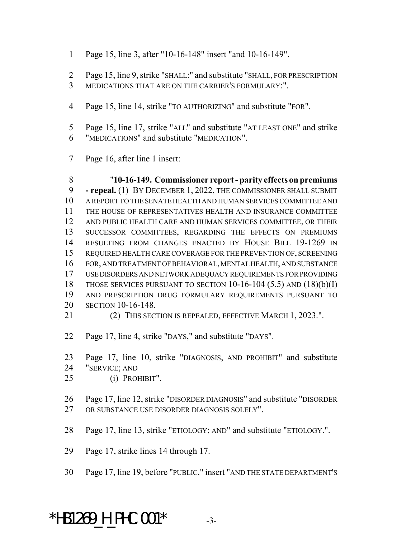- Page 15, line 3, after "10-16-148" insert "and 10-16-149".
- Page 15, line 9, strike "SHALL:" and substitute "SHALL, FOR PRESCRIPTION
- MEDICATIONS THAT ARE ON THE CARRIER'S FORMULARY:".
- Page 15, line 14, strike "TO AUTHORIZING" and substitute "FOR".
- Page 15, line 17, strike "ALL" and substitute "AT LEAST ONE" and strike "MEDICATIONS" and substitute "MEDICATION".
- Page 16, after line 1 insert:

 "**10-16-149. Commissioner report - parity effects on premiums - repeal.** (1) BY DECEMBER 1, 2022, THE COMMISSIONER SHALL SUBMIT A REPORT TO THE SENATE HEALTH AND HUMAN SERVICES COMMITTEE AND THE HOUSE OF REPRESENTATIVES HEALTH AND INSURANCE COMMITTEE AND PUBLIC HEALTH CARE AND HUMAN SERVICES COMMITTEE, OR THEIR SUCCESSOR COMMITTEES, REGARDING THE EFFECTS ON PREMIUMS RESULTING FROM CHANGES ENACTED BY HOUSE BILL 19-1269 IN REQUIRED HEALTH CARE COVERAGE FOR THE PREVENTION OF, SCREENING FOR, AND TREATMENT OF BEHAVIORAL, MENTAL HEALTH, AND SUBSTANCE USE DISORDERS AND NETWORK ADEQUACY REQUIREMENTS FOR PROVIDING THOSE SERVICES PURSUANT TO SECTION 10-16-104 (5.5) AND (18)(b)(I) AND PRESCRIPTION DRUG FORMULARY REQUIREMENTS PURSUANT TO SECTION 10-16-148. (2) THIS SECTION IS REPEALED, EFFECTIVE MARCH 1, 2023.".

- Page 17, line 4, strike "DAYS," and substitute "DAYS".
- Page 17, line 10, strike "DIAGNOSIS, AND PROHIBIT" and substitute "SERVICE; AND
- (i) PROHIBIT".
- Page 17, line 12, strike "DISORDER DIAGNOSIS" and substitute "DISORDER OR SUBSTANCE USE DISORDER DIAGNOSIS SOLELY".
- Page 17, line 13, strike "ETIOLOGY; AND" and substitute "ETIOLOGY.".
- Page 17, strike lines 14 through 17.
- Page 17, line 19, before "PUBLIC." insert "AND THE STATE DEPARTMENT'S

\*HB1269 H PHC.001\*  $-3$ -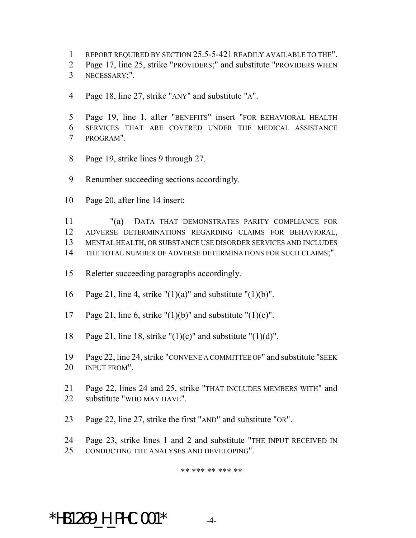- REPORT REQUIRED BY SECTION 25.5-5-421 READILY AVAILABLE TO THE".
- Page 17, line 25, strike "PROVIDERS;" and substitute "PROVIDERS WHEN
- NECESSARY;".
- Page 18, line 27, strike "ANY" and substitute "A".
- Page 19, line 1, after "BENEFITS" insert "FOR BEHAVIORAL HEALTH SERVICES THAT ARE COVERED UNDER THE MEDICAL ASSISTANCE PROGRAM".
- Page 19, strike lines 9 through 27.
- Renumber succeeding sections accordingly.
- Page 20, after line 14 insert:

 "(a) DATA THAT DEMONSTRATES PARITY COMPLIANCE FOR ADVERSE DETERMINATIONS REGARDING CLAIMS FOR BEHAVIORAL, MENTAL HEALTH, OR SUBSTANCE USE DISORDER SERVICES AND INCLUDES 14 THE TOTAL NUMBER OF ADVERSE DETERMINATIONS FOR SUCH CLAIMS;".

- Reletter succeeding paragraphs accordingly.
- 16 Page 21, line 4, strike " $(1)(a)$ " and substitute " $(1)(b)$ ".
- 17 Page 21, line 6, strike " $(1)(b)$ " and substitute " $(1)(c)$ ".
- 18 Page 21, line 18, strike " $(1)(c)$ " and substitute " $(1)(d)$ ".
- Page 22, line 24, strike "CONVENE A COMMITTEE OF" and substitute "SEEK INPUT FROM".
- Page 22, lines 24 and 25, strike "THAT INCLUDES MEMBERS WITH" and substitute "WHO MAY HAVE".
- Page 22, line 27, strike the first "AND" and substitute "OR".
- Page 23, strike lines 1 and 2 and substitute "THE INPUT RECEIVED IN
- CONDUCTING THE ANALYSES AND DEVELOPING".

## \*\* \*\*\* \*\* \*\*\* \*\*

\*HB1269 H PHC.001\*  $-4$ -